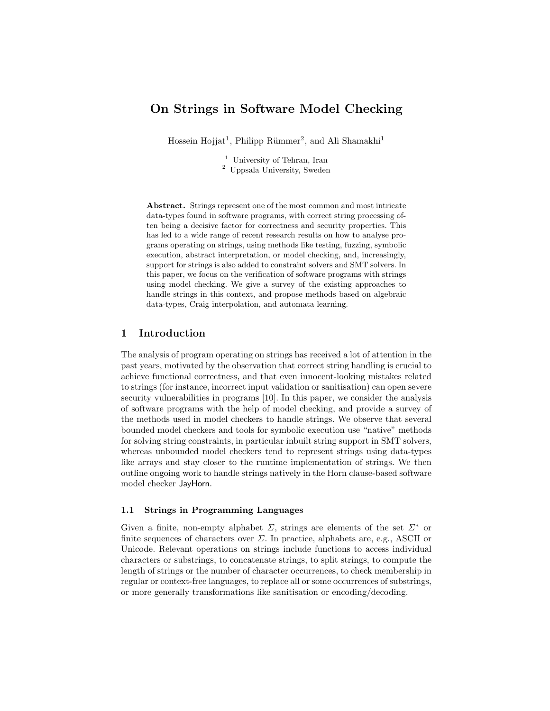# On Strings in Software Model Checking

Hossein Hojjat<sup>1</sup>, Philipp Rümmer<sup>2</sup>, and Ali Shamakhi<sup>1</sup>

<sup>1</sup> University of Tehran, Iran <sup>2</sup> Uppsala University, Sweden

Abstract. Strings represent one of the most common and most intricate data-types found in software programs, with correct string processing often being a decisive factor for correctness and security properties. This has led to a wide range of recent research results on how to analyse programs operating on strings, using methods like testing, fuzzing, symbolic execution, abstract interpretation, or model checking, and, increasingly, support for strings is also added to constraint solvers and SMT solvers. In this paper, we focus on the verification of software programs with strings using model checking. We give a survey of the existing approaches to handle strings in this context, and propose methods based on algebraic data-types, Craig interpolation, and automata learning.

# 1 Introduction

The analysis of program operating on strings has received a lot of attention in the past years, motivated by the observation that correct string handling is crucial to achieve functional correctness, and that even innocent-looking mistakes related to strings (for instance, incorrect input validation or sanitisation) can open severe security vulnerabilities in programs [10]. In this paper, we consider the analysis of software programs with the help of model checking, and provide a survey of the methods used in model checkers to handle strings. We observe that several bounded model checkers and tools for symbolic execution use "native" methods for solving string constraints, in particular inbuilt string support in SMT solvers, whereas unbounded model checkers tend to represent strings using data-types like arrays and stay closer to the runtime implementation of strings. We then outline ongoing work to handle strings natively in the Horn clause-based software model checker JayHorn.

### 1.1 Strings in Programming Languages

Given a finite, non-empty alphabet  $\Sigma$ , strings are elements of the set  $\Sigma^*$  or finite sequences of characters over  $\Sigma$ . In practice, alphabets are, e.g., ASCII or Unicode. Relevant operations on strings include functions to access individual characters or substrings, to concatenate strings, to split strings, to compute the length of strings or the number of character occurrences, to check membership in regular or context-free languages, to replace all or some occurrences of substrings, or more generally transformations like sanitisation or encoding/decoding.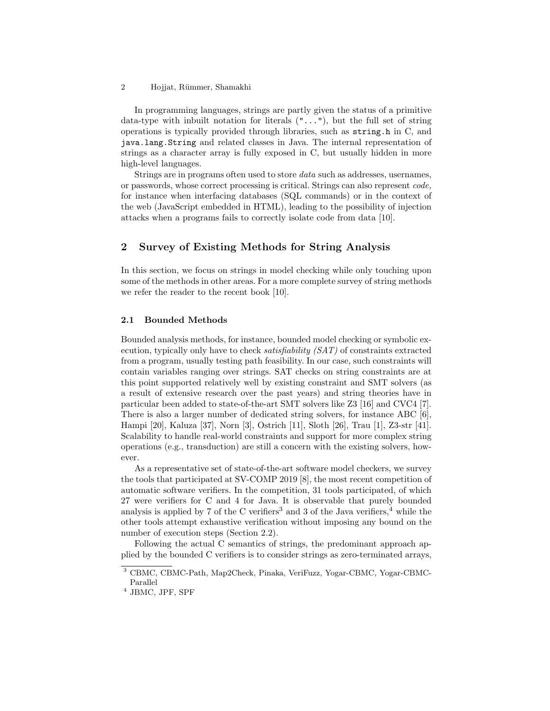In programming languages, strings are partly given the status of a primitive data-type with inbuilt notation for literals ("..."), but the full set of string operations is typically provided through libraries, such as string.h in C, and java.lang.String and related classes in Java. The internal representation of strings as a character array is fully exposed in C, but usually hidden in more high-level languages.

Strings are in programs often used to store data such as addresses, usernames, or passwords, whose correct processing is critical. Strings can also represent code, for instance when interfacing databases (SQL commands) or in the context of the web (JavaScript embedded in HTML), leading to the possibility of injection attacks when a programs fails to correctly isolate code from data [10].

# 2 Survey of Existing Methods for String Analysis

In this section, we focus on strings in model checking while only touching upon some of the methods in other areas. For a more complete survey of string methods we refer the reader to the recent book [10].

# 2.1 Bounded Methods

Bounded analysis methods, for instance, bounded model checking or symbolic execution, typically only have to check satisfiability (SAT) of constraints extracted from a program, usually testing path feasibility. In our case, such constraints will contain variables ranging over strings. SAT checks on string constraints are at this point supported relatively well by existing constraint and SMT solvers (as a result of extensive research over the past years) and string theories have in particular been added to state-of-the-art SMT solvers like Z3 [16] and CVC4 [7]. There is also a larger number of dedicated string solvers, for instance ABC [6], Hampi [20], Kaluza [37], Norn [3], Ostrich [11], Sloth [26], Trau [1], Z3-str [41]. Scalability to handle real-world constraints and support for more complex string operations (e.g., transduction) are still a concern with the existing solvers, however.

As a representative set of state-of-the-art software model checkers, we survey the tools that participated at SV-COMP 2019 [8], the most recent competition of automatic software verifiers. In the competition, 31 tools participated, of which 27 were verifiers for C and 4 for Java. It is observable that purely bounded analysis is applied by 7 of the C verifiers<sup>3</sup> and 3 of the Java verifiers,<sup>4</sup> while the other tools attempt exhaustive verification without imposing any bound on the number of execution steps (Section 2.2).

Following the actual C semantics of strings, the predominant approach applied by the bounded C verifiers is to consider strings as zero-terminated arrays,

<sup>3</sup> CBMC, CBMC-Path, Map2Check, Pinaka, VeriFuzz, Yogar-CBMC, Yogar-CBMC-Parallel

<sup>4</sup> JBMC, JPF, SPF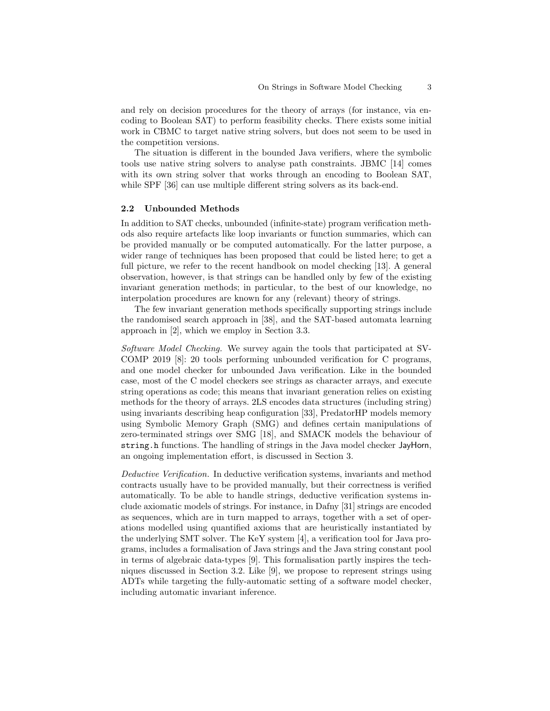and rely on decision procedures for the theory of arrays (for instance, via encoding to Boolean SAT) to perform feasibility checks. There exists some initial work in CBMC to target native string solvers, but does not seem to be used in the competition versions.

The situation is different in the bounded Java verifiers, where the symbolic tools use native string solvers to analyse path constraints. JBMC [14] comes with its own string solver that works through an encoding to Boolean SAT, while SPF [36] can use multiple different string solvers as its back-end.

### 2.2 Unbounded Methods

In addition to SAT checks, unbounded (infinite-state) program verification methods also require artefacts like loop invariants or function summaries, which can be provided manually or be computed automatically. For the latter purpose, a wider range of techniques has been proposed that could be listed here; to get a full picture, we refer to the recent handbook on model checking [13]. A general observation, however, is that strings can be handled only by few of the existing invariant generation methods; in particular, to the best of our knowledge, no interpolation procedures are known for any (relevant) theory of strings.

The few invariant generation methods specifically supporting strings include the randomised search approach in [38], and the SAT-based automata learning approach in [2], which we employ in Section 3.3.

Software Model Checking. We survey again the tools that participated at SV-COMP 2019 [8]: 20 tools performing unbounded verification for C programs, and one model checker for unbounded Java verification. Like in the bounded case, most of the C model checkers see strings as character arrays, and execute string operations as code; this means that invariant generation relies on existing methods for the theory of arrays. 2LS encodes data structures (including string) using invariants describing heap configuration [33], PredatorHP models memory using Symbolic Memory Graph (SMG) and defines certain manipulations of zero-terminated strings over SMG [18], and SMACK models the behaviour of string.h functions. The handling of strings in the Java model checker JayHorn, an ongoing implementation effort, is discussed in Section 3.

Deductive Verification. In deductive verification systems, invariants and method contracts usually have to be provided manually, but their correctness is verified automatically. To be able to handle strings, deductive verification systems include axiomatic models of strings. For instance, in Dafny [31] strings are encoded as sequences, which are in turn mapped to arrays, together with a set of operations modelled using quantified axioms that are heuristically instantiated by the underlying SMT solver. The KeY system [4], a verification tool for Java programs, includes a formalisation of Java strings and the Java string constant pool in terms of algebraic data-types [9]. This formalisation partly inspires the techniques discussed in Section 3.2. Like [9], we propose to represent strings using ADTs while targeting the fully-automatic setting of a software model checker, including automatic invariant inference.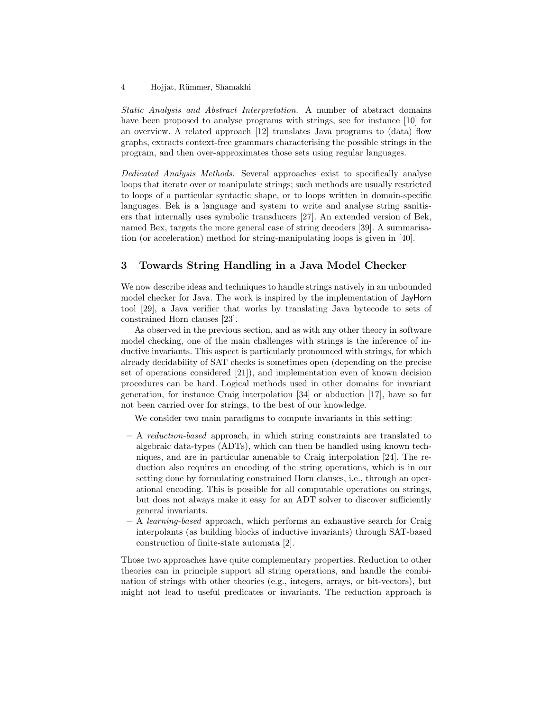### 4 Hojjat, Rümmer, Shamakhi

Static Analysis and Abstract Interpretation. A number of abstract domains have been proposed to analyse programs with strings, see for instance [10] for an overview. A related approach [12] translates Java programs to (data) flow graphs, extracts context-free grammars characterising the possible strings in the program, and then over-approximates those sets using regular languages.

Dedicated Analysis Methods. Several approaches exist to specifically analyse loops that iterate over or manipulate strings; such methods are usually restricted to loops of a particular syntactic shape, or to loops written in domain-specific languages. Bek is a language and system to write and analyse string sanitisers that internally uses symbolic transducers [27]. An extended version of Bek, named Bex, targets the more general case of string decoders [39]. A summarisation (or acceleration) method for string-manipulating loops is given in [40].

# 3 Towards String Handling in a Java Model Checker

We now describe ideas and techniques to handle strings natively in an unbounded model checker for Java. The work is inspired by the implementation of JayHorn tool [29], a Java verifier that works by translating Java bytecode to sets of constrained Horn clauses [23].

As observed in the previous section, and as with any other theory in software model checking, one of the main challenges with strings is the inference of inductive invariants. This aspect is particularly pronounced with strings, for which already decidability of SAT checks is sometimes open (depending on the precise set of operations considered [21]), and implementation even of known decision procedures can be hard. Logical methods used in other domains for invariant generation, for instance Craig interpolation [34] or abduction [17], have so far not been carried over for strings, to the best of our knowledge.

We consider two main paradigms to compute invariants in this setting:

- A reduction-based approach, in which string constraints are translated to algebraic data-types (ADTs), which can then be handled using known techniques, and are in particular amenable to Craig interpolation [24]. The reduction also requires an encoding of the string operations, which is in our setting done by formulating constrained Horn clauses, i.e., through an operational encoding. This is possible for all computable operations on strings, but does not always make it easy for an ADT solver to discover sufficiently general invariants.
- A learning-based approach, which performs an exhaustive search for Craig interpolants (as building blocks of inductive invariants) through SAT-based construction of finite-state automata [2].

Those two approaches have quite complementary properties. Reduction to other theories can in principle support all string operations, and handle the combination of strings with other theories (e.g., integers, arrays, or bit-vectors), but might not lead to useful predicates or invariants. The reduction approach is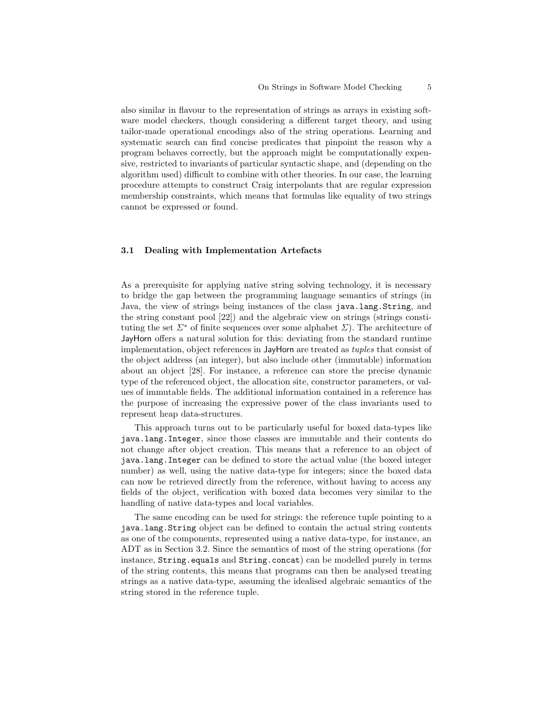also similar in flavour to the representation of strings as arrays in existing software model checkers, though considering a different target theory, and using tailor-made operational encodings also of the string operations. Learning and systematic search can find concise predicates that pinpoint the reason why a program behaves correctly, but the approach might be computationally expensive, restricted to invariants of particular syntactic shape, and (depending on the algorithm used) difficult to combine with other theories. In our case, the learning procedure attempts to construct Craig interpolants that are regular expression membership constraints, which means that formulas like equality of two strings cannot be expressed or found.

### 3.1 Dealing with Implementation Artefacts

As a prerequisite for applying native string solving technology, it is necessary to bridge the gap between the programming language semantics of strings (in Java, the view of strings being instances of the class java.lang.String, and the string constant pool [22]) and the algebraic view on strings (strings constituting the set  $\Sigma^*$  of finite sequences over some alphabet  $\Sigma$ ). The architecture of JayHorn offers a natural solution for this: deviating from the standard runtime implementation, object references in JayHorn are treated as tuples that consist of the object address (an integer), but also include other (immutable) information about an object [28]. For instance, a reference can store the precise dynamic type of the referenced object, the allocation site, constructor parameters, or values of immutable fields. The additional information contained in a reference has the purpose of increasing the expressive power of the class invariants used to represent heap data-structures.

This approach turns out to be particularly useful for boxed data-types like java.lang.Integer, since those classes are immutable and their contents do not change after object creation. This means that a reference to an object of java.lang.Integer can be defined to store the actual value (the boxed integer number) as well, using the native data-type for integers; since the boxed data can now be retrieved directly from the reference, without having to access any fields of the object, verification with boxed data becomes very similar to the handling of native data-types and local variables.

The same encoding can be used for strings: the reference tuple pointing to a java.lang.String object can be defined to contain the actual string contents as one of the components, represented using a native data-type, for instance, an ADT as in Section 3.2. Since the semantics of most of the string operations (for instance, String.equals and String.concat) can be modelled purely in terms of the string contents, this means that programs can then be analysed treating strings as a native data-type, assuming the idealised algebraic semantics of the string stored in the reference tuple.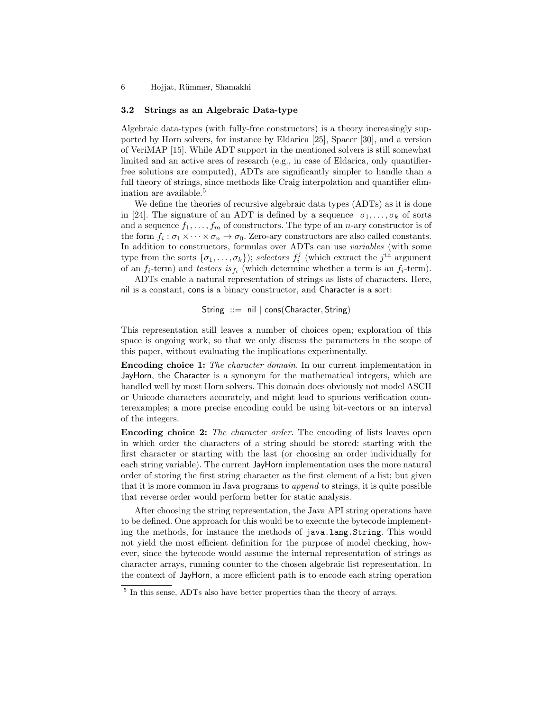### 3.2 Strings as an Algebraic Data-type

Algebraic data-types (with fully-free constructors) is a theory increasingly supported by Horn solvers, for instance by Eldarica [25], Spacer [30], and a version of VeriMAP [15]. While ADT support in the mentioned solvers is still somewhat limited and an active area of research (e.g., in case of Eldarica, only quantifierfree solutions are computed), ADTs are significantly simpler to handle than a full theory of strings, since methods like Craig interpolation and quantifier elimination are available.<sup>5</sup>

We define the theories of recursive algebraic data types (ADTs) as it is done in [24]. The signature of an ADT is defined by a sequence  $\sigma_1, \ldots, \sigma_k$  of sorts and a sequence  $f_1, \ldots, f_m$  of constructors. The type of an *n*-ary constructor is of the form  $f_i : \sigma_1 \times \cdots \times \sigma_n \to \sigma_0$ . Zero-ary constructors are also called constants. In addition to constructors, formulas over ADTs can use variables (with some type from the sorts  $\{\sigma_1, \ldots, \sigma_k\}$ ; selectors  $f_i^j$  (which extract the j<sup>th</sup> argument of an  $f_i$ -term) and testers is  $f_i$  (which determine whether a term is an  $f_i$ -term).

ADTs enable a natural representation of strings as lists of characters. Here, nil is a constant, cons is a binary constructor, and Character is a sort:

String ::= nil | cons(Character, String)

This representation still leaves a number of choices open; exploration of this space is ongoing work, so that we only discuss the parameters in the scope of this paper, without evaluating the implications experimentally.

Encoding choice 1: The character domain. In our current implementation in JayHorn, the Character is a synonym for the mathematical integers, which are handled well by most Horn solvers. This domain does obviously not model ASCII or Unicode characters accurately, and might lead to spurious verification counterexamples; a more precise encoding could be using bit-vectors or an interval of the integers.

**Encoding choice 2:** The character order. The encoding of lists leaves open in which order the characters of a string should be stored: starting with the first character or starting with the last (or choosing an order individually for each string variable). The current JayHorn implementation uses the more natural order of storing the first string character as the first element of a list; but given that it is more common in Java programs to append to strings, it is quite possible that reverse order would perform better for static analysis.

After choosing the string representation, the Java API string operations have to be defined. One approach for this would be to execute the bytecode implementing the methods, for instance the methods of java.lang.String. This would not yield the most efficient definition for the purpose of model checking, however, since the bytecode would assume the internal representation of strings as character arrays, running counter to the chosen algebraic list representation. In the context of JayHorn, a more efficient path is to encode each string operation

<sup>&</sup>lt;sup>5</sup> In this sense, ADTs also have better properties than the theory of arrays.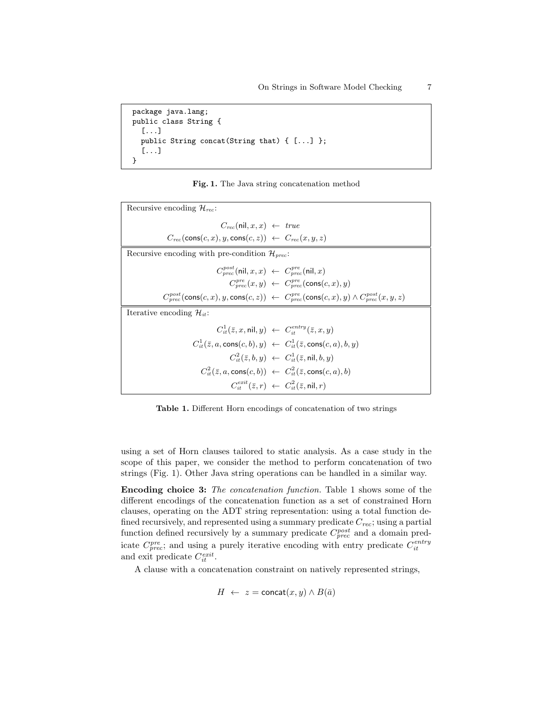```
package java.lang;
public class String {
  [...]
  public String concat(String that) { [...] };
  [...]
}
```
Fig. 1. The Java string concatenation method

| Recursive encoding $\mathcal{H}_{rec}$ :                                                           |  |                                                                                                                                            |
|----------------------------------------------------------------------------------------------------|--|--------------------------------------------------------------------------------------------------------------------------------------------|
| $C_{rec}(\text{nil}, x, x) \leftarrow true$                                                        |  |                                                                                                                                            |
| $C_{rec}(\text{cons}(c, x), y, \text{cons}(c, z)) \leftarrow C_{rec}(x, y, z)$                     |  |                                                                                                                                            |
| Recursive encoding with pre-condition $\mathcal{H}_{prec}$ :                                       |  |                                                                                                                                            |
| $C_{nrec}^{post}(\text{nil}, x, x) \leftarrow C_{nrec}^{pre}(\text{nil}, x)$                       |  |                                                                                                                                            |
|                                                                                                    |  | $C_{nrec}^{pre}(x, y) \leftarrow C_{nrec}^{pre}(\text{cons}(c, x), y)$                                                                     |
|                                                                                                    |  | $C_{nrec}^{post}(\text{cons}(c, x), y, \text{cons}(c, z)) \leftarrow C_{nrec}^{pre}(\text{cons}(c, x), y) \wedge C_{nrec}^{post}(x, y, z)$ |
| Iterative encoding $\mathcal{H}_{it}$ :                                                            |  |                                                                                                                                            |
| $C_{it}^1(\bar{z},x,\text{nil},y) \leftarrow C_{it}^{entry}(\bar{z},x,y)$                          |  |                                                                                                                                            |
| $C_{it}^1(\bar{z}, a, \text{cons}(c, b), y) \leftarrow C_{it}^1(\bar{z}, \text{cons}(c, a), b, y)$ |  |                                                                                                                                            |
|                                                                                                    |  | $C_{it}^2(\bar{z},b,y) \leftarrow C_{it}^1(\bar{z},\text{nil},b,y)$                                                                        |
| $C_{it}^2(\bar{z}, a, \text{cons}(c, b)) \leftarrow C_{it}^2(\bar{z}, \text{cons}(c, a), b)$       |  |                                                                                                                                            |
|                                                                                                    |  | $C_{it}^{exit}(\bar{z}, r) \leftarrow C_{it}^{2}(\bar{z}, \text{nil}, r)$                                                                  |

Table 1. Different Horn encodings of concatenation of two strings

using a set of Horn clauses tailored to static analysis. As a case study in the scope of this paper, we consider the method to perform concatenation of two strings (Fig. 1). Other Java string operations can be handled in a similar way.

Encoding choice 3: The concatenation function. Table 1 shows some of the different encodings of the concatenation function as a set of constrained Horn clauses, operating on the ADT string representation: using a total function defined recursively, and represented using a summary predicate  $C_{rec}$ ; using a partial function defined recursively by a summary predicate  $C_{prec}^{post}$  and a domain predicate  $C_{prec}^{pre}$ ; and using a purely iterative encoding with entry predicate  $C_{it}^{entry}$ and exit predicate  $C_{it}^{exit}$ .

A clause with a concatenation constraint on natively represented strings,

$$
H \leftarrow z = \text{concat}(x, y) \land B(\bar{a})
$$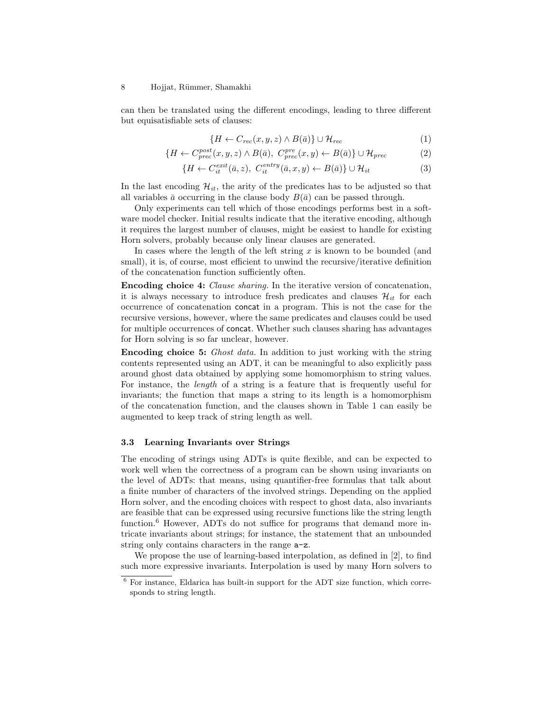#### 8 Hojjat, Rümmer, Shamakhi

can then be translated using the different encodings, leading to three different but equisatisfiable sets of clauses:

$$
\{H \leftarrow C_{rec}(x, y, z) \land B(\bar{a})\} \cup \mathcal{H}_{rec}
$$
\n<sup>(1)</sup>

$$
\{H \leftarrow C_{prec}^{post}(x, y, z) \land B(\bar{a}), \ C_{prec}^{pre}(x, y) \leftarrow B(\bar{a})\} \cup \mathcal{H}_{prec}
$$
 (2)

$$
\{H \leftarrow C_{it}^{exit}(\bar{a}, z), \ C_{it}^{entry}(\bar{a}, x, y) \leftarrow B(\bar{a})\} \cup \mathcal{H}_{it}
$$
(3)

In the last encoding  $\mathcal{H}_{it}$ , the arity of the predicates has to be adjusted so that all variables  $\bar{a}$  occurring in the clause body  $B(\bar{a})$  can be passed through.

Only experiments can tell which of those encodings performs best in a software model checker. Initial results indicate that the iterative encoding, although it requires the largest number of clauses, might be easiest to handle for existing Horn solvers, probably because only linear clauses are generated.

In cases where the length of the left string  $x$  is known to be bounded (and small), it is, of course, most efficient to unwind the recursive/iterative definition of the concatenation function sufficiently often.

Encoding choice 4: Clause sharing. In the iterative version of concatenation, it is always necessary to introduce fresh predicates and clauses  $\mathcal{H}_{it}$  for each occurrence of concatenation concat in a program. This is not the case for the recursive versions, however, where the same predicates and clauses could be used for multiple occurrences of concat. Whether such clauses sharing has advantages for Horn solving is so far unclear, however.

Encoding choice 5: Ghost data. In addition to just working with the string contents represented using an ADT, it can be meaningful to also explicitly pass around ghost data obtained by applying some homomorphism to string values. For instance, the length of a string is a feature that is frequently useful for invariants; the function that maps a string to its length is a homomorphism of the concatenation function, and the clauses shown in Table 1 can easily be augmented to keep track of string length as well.

#### 3.3 Learning Invariants over Strings

The encoding of strings using ADTs is quite flexible, and can be expected to work well when the correctness of a program can be shown using invariants on the level of ADTs: that means, using quantifier-free formulas that talk about a finite number of characters of the involved strings. Depending on the applied Horn solver, and the encoding choices with respect to ghost data, also invariants are feasible that can be expressed using recursive functions like the string length function.<sup>6</sup> However, ADTs do not suffice for programs that demand more intricate invariants about strings; for instance, the statement that an unbounded string only contains characters in the range a-z.

We propose the use of learning-based interpolation, as defined in [2], to find such more expressive invariants. Interpolation is used by many Horn solvers to

 $6$  For instance, Eldarica has built-in support for the ADT size function, which corresponds to string length.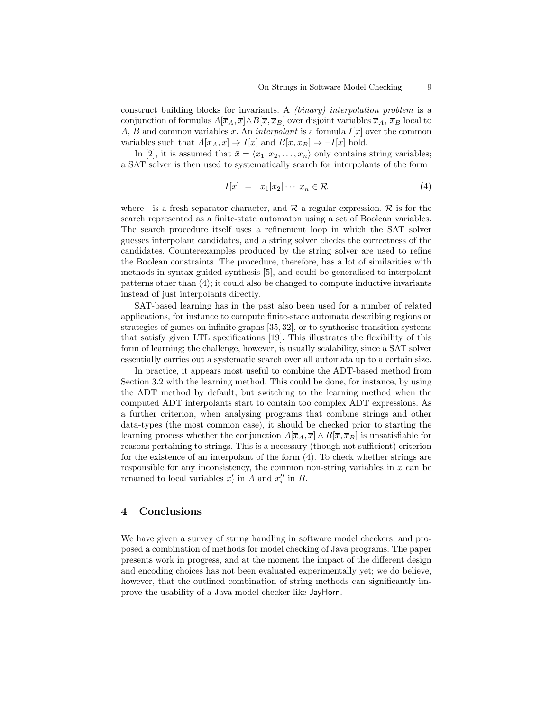construct building blocks for invariants. A (binary) interpolation problem is a conjunction of formulas  $A[\overline{x}_A, \overline{x}]\wedge B[\overline{x}, \overline{x}_B]$  over disjoint variables  $\overline{x}_A, \overline{x}_B$  local to A, B and common variables  $\bar{x}$ . An *interpolant* is a formula  $I[\bar{x}]$  over the common variables such that  $A[\overline{x}_A, \overline{x}] \Rightarrow I[\overline{x}]$  and  $B[\overline{x}, \overline{x}_B] \Rightarrow \neg I[\overline{x}]$  hold.

In [2], it is assumed that  $\bar{x} = \langle x_1, x_2, \ldots, x_n \rangle$  only contains string variables; a SAT solver is then used to systematically search for interpolants of the form

$$
I[\overline{x}] = x_1|x_2|\cdots|x_n \in \mathcal{R}
$$
\n<sup>(4)</sup>

where | is a fresh separator character, and  $\mathcal R$  a regular expression.  $\mathcal R$  is for the search represented as a finite-state automaton using a set of Boolean variables. The search procedure itself uses a refinement loop in which the SAT solver guesses interpolant candidates, and a string solver checks the correctness of the candidates. Counterexamples produced by the string solver are used to refine the Boolean constraints. The procedure, therefore, has a lot of similarities with methods in syntax-guided synthesis [5], and could be generalised to interpolant patterns other than (4); it could also be changed to compute inductive invariants instead of just interpolants directly.

SAT-based learning has in the past also been used for a number of related applications, for instance to compute finite-state automata describing regions or strategies of games on infinite graphs [35, 32], or to synthesise transition systems that satisfy given LTL specifications [19]. This illustrates the flexibility of this form of learning; the challenge, however, is usually scalability, since a SAT solver essentially carries out a systematic search over all automata up to a certain size.

In practice, it appears most useful to combine the ADT-based method from Section 3.2 with the learning method. This could be done, for instance, by using the ADT method by default, but switching to the learning method when the computed ADT interpolants start to contain too complex ADT expressions. As a further criterion, when analysing programs that combine strings and other data-types (the most common case), it should be checked prior to starting the learning process whether the conjunction  $A[\overline{x}_A, \overline{x}] \wedge B[\overline{x}, \overline{x}_B]$  is unsatisfiable for reasons pertaining to strings. This is a necessary (though not sufficient) criterion for the existence of an interpolant of the form (4). To check whether strings are responsible for any inconsistency, the common non-string variables in  $\bar{x}$  can be renamed to local variables  $x_i'$  in A and  $x_i''$  in B.

### 4 Conclusions

We have given a survey of string handling in software model checkers, and proposed a combination of methods for model checking of Java programs. The paper presents work in progress, and at the moment the impact of the different design and encoding choices has not been evaluated experimentally yet; we do believe, however, that the outlined combination of string methods can significantly improve the usability of a Java model checker like JayHorn.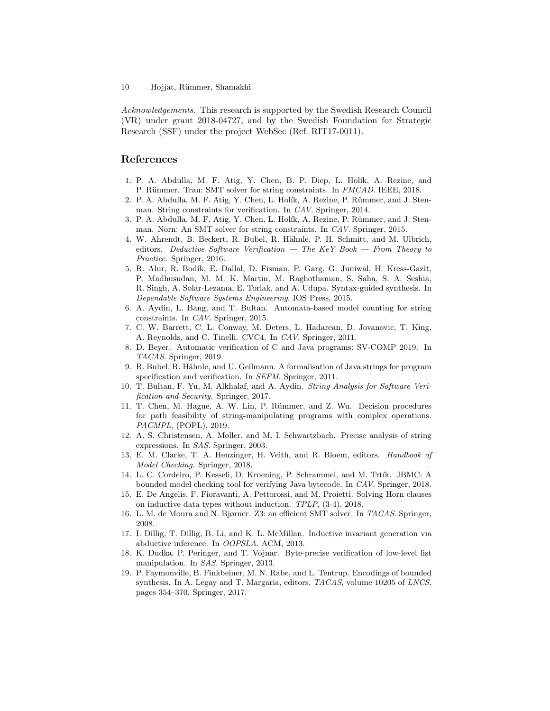10 Hojjat, Rümmer, Shamakhi

Acknowledgements. This research is supported by the Swedish Research Council (VR) under grant 2018-04727, and by the Swedish Foundation for Strategic Research (SSF) under the project WebSec (Ref. RIT17-0011).

### References

- 1. P. A. Abdulla, M. F. Atig, Y. Chen, B. P. Diep, L. Holík, A. Rezine, and P. Rümmer. Trau: SMT solver for string constraints. In FMCAD. IEEE, 2018.
- 2. P. A. Abdulla, M. F. Atig, Y. Chen, L. Holík, A. Rezine, P. Rümmer, and J. Stenman. String constraints for verification. In CAV. Springer, 2014.
- 3. P. A. Abdulla, M. F. Atig, Y. Chen, L. Holík, A. Rezine, P. Rümmer, and J. Stenman. Norn: An SMT solver for string constraints. In CAV. Springer, 2015.
- 4. W. Ahrendt, B. Beckert, R. Bubel, R. Hähnle, P. H. Schmitt, and M. Ulbrich, editors. Deductive Software Verification  $-$  The KeY Book  $-$  From Theory to Practice. Springer, 2016.
- 5. R. Alur, R. Bod´ık, E. Dallal, D. Fisman, P. Garg, G. Juniwal, H. Kress-Gazit, P. Madhusudan, M. M. K. Martin, M. Raghothaman, S. Saha, S. A. Seshia, R. Singh, A. Solar-Lezama, E. Torlak, and A. Udupa. Syntax-guided synthesis. In Dependable Software Systems Engineering. IOS Press, 2015.
- 6. A. Aydin, L. Bang, and T. Bultan. Automata-based model counting for string constraints. In CAV. Springer, 2015.
- 7. C. W. Barrett, C. L. Conway, M. Deters, L. Hadarean, D. Jovanovic, T. King, A. Reynolds, and C. Tinelli. CVC4. In CAV. Springer, 2011.
- 8. D. Beyer. Automatic verification of C and Java programs: SV-COMP 2019. In TACAS. Springer, 2019.
- 9. R. Bubel, R. Hähnle, and U. Geilmann. A formalisation of Java strings for program specification and verification. In *SEFM*. Springer, 2011.
- 10. T. Bultan, F. Yu, M. Alkhalaf, and A. Aydin. String Analysis for Software Verification and Security. Springer, 2017.
- 11. T. Chen, M. Hague, A. W. Lin, P. Rümmer, and Z. Wu. Decision procedures for path feasibility of string-manipulating programs with complex operations. PACMPL, (POPL), 2019.
- 12. A. S. Christensen, A. Møller, and M. I. Schwartzbach. Precise analysis of string expressions. In SAS. Springer, 2003.
- 13. E. M. Clarke, T. A. Henzinger, H. Veith, and R. Bloem, editors. Handbook of Model Checking. Springer, 2018.
- 14. L. C. Cordeiro, P. Kesseli, D. Kroening, P. Schrammel, and M. Trtík. JBMC: A bounded model checking tool for verifying Java bytecode. In CAV. Springer, 2018.
- 15. E. De Angelis, F. Fioravanti, A. Pettorossi, and M. Proietti. Solving Horn clauses on inductive data types without induction. TPLP, (3-4), 2018.
- 16. L. M. de Moura and N. Bjørner. Z3: an efficient SMT solver. In TACAS. Springer, 2008.
- 17. I. Dillig, T. Dillig, B. Li, and K. L. McMillan. Inductive invariant generation via abductive inference. In OOPSLA. ACM, 2013.
- 18. K. Dudka, P. Peringer, and T. Vojnar. Byte-precise verification of low-level list manipulation. In SAS. Springer, 2013.
- 19. P. Faymonville, B. Finkbeiner, M. N. Rabe, and L. Tentrup. Encodings of bounded synthesis. In A. Legay and T. Margaria, editors, TACAS, volume 10205 of LNCS, pages 354–370. Springer, 2017.